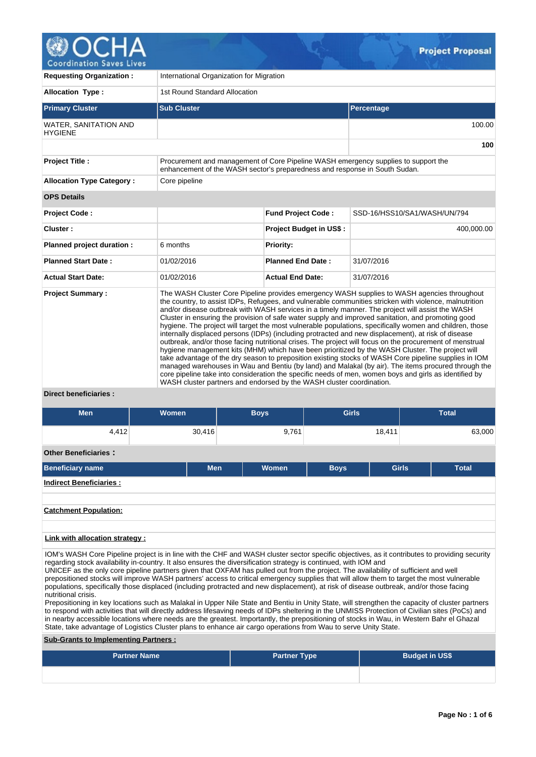

| <b>Requesting Organization:</b>         | International Organization for Migration                                                                                                                                                                                                                                                                                                                                                                                                                                                                                                                                                                                                                                                                                                                                                                                                                                                                                                                                                                                                                                                                                                                                                                                                           |                                |                              |  |  |  |  |  |  |
|-----------------------------------------|----------------------------------------------------------------------------------------------------------------------------------------------------------------------------------------------------------------------------------------------------------------------------------------------------------------------------------------------------------------------------------------------------------------------------------------------------------------------------------------------------------------------------------------------------------------------------------------------------------------------------------------------------------------------------------------------------------------------------------------------------------------------------------------------------------------------------------------------------------------------------------------------------------------------------------------------------------------------------------------------------------------------------------------------------------------------------------------------------------------------------------------------------------------------------------------------------------------------------------------------------|--------------------------------|------------------------------|--|--|--|--|--|--|
| <b>Allocation Type:</b>                 | 1st Round Standard Allocation                                                                                                                                                                                                                                                                                                                                                                                                                                                                                                                                                                                                                                                                                                                                                                                                                                                                                                                                                                                                                                                                                                                                                                                                                      |                                |                              |  |  |  |  |  |  |
| <b>Primary Cluster</b>                  | <b>Sub Cluster</b>                                                                                                                                                                                                                                                                                                                                                                                                                                                                                                                                                                                                                                                                                                                                                                                                                                                                                                                                                                                                                                                                                                                                                                                                                                 |                                | Percentage                   |  |  |  |  |  |  |
| WATER, SANITATION AND<br><b>HYGIENE</b> |                                                                                                                                                                                                                                                                                                                                                                                                                                                                                                                                                                                                                                                                                                                                                                                                                                                                                                                                                                                                                                                                                                                                                                                                                                                    |                                | 100.00                       |  |  |  |  |  |  |
|                                         |                                                                                                                                                                                                                                                                                                                                                                                                                                                                                                                                                                                                                                                                                                                                                                                                                                                                                                                                                                                                                                                                                                                                                                                                                                                    |                                | 100                          |  |  |  |  |  |  |
| <b>Project Title:</b>                   | Procurement and management of Core Pipeline WASH emergency supplies to support the<br>enhancement of the WASH sector's preparedness and response in South Sudan.                                                                                                                                                                                                                                                                                                                                                                                                                                                                                                                                                                                                                                                                                                                                                                                                                                                                                                                                                                                                                                                                                   |                                |                              |  |  |  |  |  |  |
| <b>Allocation Type Category:</b>        | Core pipeline                                                                                                                                                                                                                                                                                                                                                                                                                                                                                                                                                                                                                                                                                                                                                                                                                                                                                                                                                                                                                                                                                                                                                                                                                                      |                                |                              |  |  |  |  |  |  |
| <b>OPS Details</b>                      |                                                                                                                                                                                                                                                                                                                                                                                                                                                                                                                                                                                                                                                                                                                                                                                                                                                                                                                                                                                                                                                                                                                                                                                                                                                    |                                |                              |  |  |  |  |  |  |
| Project Code:                           |                                                                                                                                                                                                                                                                                                                                                                                                                                                                                                                                                                                                                                                                                                                                                                                                                                                                                                                                                                                                                                                                                                                                                                                                                                                    | <b>Fund Project Code:</b>      | SSD-16/HSS10/SA1/WASH/UN/794 |  |  |  |  |  |  |
| Cluster:                                |                                                                                                                                                                                                                                                                                                                                                                                                                                                                                                                                                                                                                                                                                                                                                                                                                                                                                                                                                                                                                                                                                                                                                                                                                                                    | <b>Project Budget in US\$:</b> | 400,000.00                   |  |  |  |  |  |  |
| Planned project duration :              | 6 months                                                                                                                                                                                                                                                                                                                                                                                                                                                                                                                                                                                                                                                                                                                                                                                                                                                                                                                                                                                                                                                                                                                                                                                                                                           | <b>Priority:</b>               |                              |  |  |  |  |  |  |
| <b>Planned Start Date:</b>              | 01/02/2016                                                                                                                                                                                                                                                                                                                                                                                                                                                                                                                                                                                                                                                                                                                                                                                                                                                                                                                                                                                                                                                                                                                                                                                                                                         | <b>Planned End Date:</b>       | 31/07/2016                   |  |  |  |  |  |  |
| <b>Actual Start Date:</b>               | 01/02/2016                                                                                                                                                                                                                                                                                                                                                                                                                                                                                                                                                                                                                                                                                                                                                                                                                                                                                                                                                                                                                                                                                                                                                                                                                                         | <b>Actual End Date:</b>        | 31/07/2016                   |  |  |  |  |  |  |
| <b>Project Summary:</b>                 | The WASH Cluster Core Pipeline provides emergency WASH supplies to WASH agencies throughout<br>the country, to assist IDPs, Refugees, and vulnerable communities stricken with violence, malnutrition<br>and/or disease outbreak with WASH services in a timely manner. The project will assist the WASH<br>Cluster in ensuring the provision of safe water supply and improved sanitation, and promoting good<br>hygiene. The project will target the most vulnerable populations, specifically women and children, those<br>internally displaced persons (IDPs) (including protracted and new displacement), at risk of disease<br>outbreak, and/or those facing nutritional crises. The project will focus on the procurement of menstrual<br>hygiene management kits (MHM) which have been prioritized by the WASH Cluster. The project will<br>take advantage of the dry season to preposition existing stocks of WASH Core pipeline supplies in IOM<br>managed warehouses in Wau and Bentiu (by land) and Malakal (by air). The items procured through the<br>core pipeline take into consideration the specific needs of men, women boys and girls as identified by<br>WASH cluster partners and endorsed by the WASH cluster coordination. |                                |                              |  |  |  |  |  |  |

# **Direct beneficiaries :**

| <b>Men</b>                      | <b>Women</b> | <b>Boys</b> | <b>Girls</b> |              | <b>Total</b> |
|---------------------------------|--------------|-------------|--------------|--------------|--------------|
| 4,412                           | 30,416       | 9,761       |              | 18,411       | 63,000       |
| <b>Other Beneficiaries:</b>     |              |             |              |              |              |
| <b>Beneficiary name</b>         | <b>Men</b>   | Women       | <b>Boys</b>  | <b>Girls</b> | <b>Total</b> |
| <b>Indirect Beneficiaries:</b>  |              |             |              |              |              |
|                                 |              |             |              |              |              |
| <b>Catchment Population:</b>    |              |             |              |              |              |
|                                 |              |             |              |              |              |
| Link with allocation strategy : |              |             |              |              |              |

IOM's WASH Core Pipeline project is in line with the CHF and WASH cluster sector specific objectives, as it contributes to providing security regarding stock availability in-country. It also ensures the diversification strategy is continued, with IOM and UNICEF as the only core pipeline partners given that OXFAM has pulled out from the project. The availability of sufficient and well prepositioned stocks will improve WASH partners' access to critical emergency supplies that will allow them to target the most vulnerable populations, specifically those displaced (including protracted and new displacement), at risk of disease outbreak, and/or those facing nutritional crisis.

Prepositioning in key locations such as Malakal in Upper Nile State and Bentiu in Unity State, will strengthen the capacity of cluster partners to respond with activities that will directly address lifesaving needs of IDPs sheltering in the UNMISS Protection of Civilian sites (PoCs) and in nearby accessible locations where needs are the greatest. Importantly, the prepositioning of stocks in Wau, in Western Bahr el Ghazal State, take advantage of Logistics Cluster plans to enhance air cargo operations from Wau to serve Unity State.

# **Sub-Grants to Implementing Partners :**

| <b>Partner Name</b> | <b>Partner Type</b> | <b>Budget in US\$</b> |
|---------------------|---------------------|-----------------------|
|                     |                     |                       |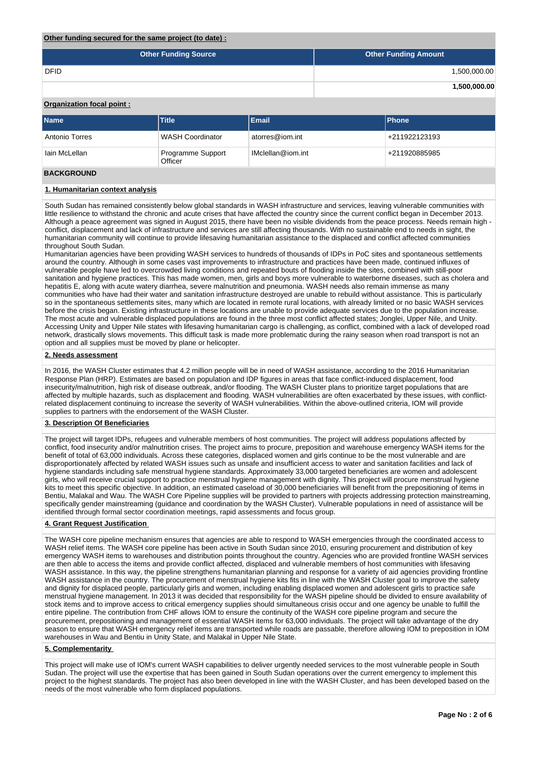# **Other funding secured for the same project (to date) :**

| <b>Other Funding Source</b> | <b>Other Funding Amount</b> |
|-----------------------------|-----------------------------|
| <b>DFID</b>                 | 1,500,000.00                |
|                             | 1,500,000.00                |

# **Organization focal point :**

| <b>Name</b>           | Title                        | Email             | <b>IPhone</b>              |
|-----------------------|------------------------------|-------------------|----------------------------|
| <b>Antonio Torres</b> | <b>WASH Coordinator</b>      | atorres@iom.int   | <sup>1</sup> +211922123193 |
| lain McLellan         | Programme Support<br>Officer | IMclellan@iom.int | <sup>4</sup> +211920885985 |

# **BACKGROUND**

# **1. Humanitarian context analysis**

South Sudan has remained consistently below global standards in WASH infrastructure and services, leaving vulnerable communities with little resilience to withstand the chronic and acute crises that have affected the country since the current conflict began in December 2013. Although a peace agreement was signed in August 2015, there have been no visible dividends from the peace process. Needs remain high conflict, displacement and lack of infrastructure and services are still affecting thousands. With no sustainable end to needs in sight, the humanitarian community will continue to provide lifesaving humanitarian assistance to the displaced and conflict affected communities throughout South Sudan.

Humanitarian agencies have been providing WASH services to hundreds of thousands of IDPs in PoC sites and spontaneous settlements around the country. Although in some cases vast improvements to infrastructure and practices have been made, continued influxes of vulnerable people have led to overcrowded living conditions and repeated bouts of flooding inside the sites, combined with still-poor sanitation and hygiene practices. This has made women, men, girls and boys more vulnerable to waterborne diseases, such as cholera and hepatitis E, along with acute watery diarrhea, severe malnutrition and pneumonia. WASH needs also remain immense as many communities who have had their water and sanitation infrastructure destroyed are unable to rebuild without assistance. This is particularly so in the spontaneous settlements sites, many which are located in remote rural locations, with already limited or no basic WASH services before the crisis began. Existing infrastructure in these locations are unable to provide adequate services due to the population increase. The most acute and vulnerable displaced populations are found in the three most conflict affected states; Jonglei, Upper Nile, and Unity. Accessing Unity and Upper Nile states with lifesaving humanitarian cargo is challenging, as conflict, combined with a lack of developed road network, drastically slows movements. This difficult task is made more problematic during the rainy season when road transport is not an option and all supplies must be moved by plane or helicopter.

#### **2. Needs assessment**

In 2016, the WASH Cluster estimates that 4.2 million people will be in need of WASH assistance, according to the 2016 Humanitarian Response Plan (HRP). Estimates are based on population and IDP figures in areas that face conflict-induced displacement, food insecurity/malnutrition, high risk of disease outbreak, and/or flooding. The WASH Cluster plans to prioritize target populations that are affected by multiple hazards, such as displacement and flooding. WASH vulnerabilities are often exacerbated by these issues, with conflictrelated displacement continuing to increase the severity of WASH vulnerabilities. Within the above-outlined criteria, IOM will provide supplies to partners with the endorsement of the WASH Cluster.

# **3. Description Of Beneficiaries**

The project will target IDPs, refugees and vulnerable members of host communities. The project will address populations affected by conflict, food insecurity and/or malnutrition crises. The project aims to procure, preposition and warehouse emergency WASH items for the benefit of total of 63,000 individuals. Across these categories, displaced women and girls continue to be the most vulnerable and are disproportionately affected by related WASH issues such as unsafe and insufficient access to water and sanitation facilities and lack of hygiene standards including safe menstrual hygiene standards. Approximately 33,000 targeted beneficiaries are women and adolescent girls, who will receive crucial support to practice menstrual hygiene management with dignity. This project will procure menstrual hygiene kits to meet this specific objective. In addition, an estimated caseload of 30,000 beneficiaries will benefit from the prepositioning of items in Bentiu, Malakal and Wau. The WASH Core Pipeline supplies will be provided to partners with projects addressing protection mainstreaming, specifically gender mainstreaming (guidance and coordination by the WASH Cluster). Vulnerable populations in need of assistance will be identified through formal sector coordination meetings, rapid assessments and focus group.

# **4. Grant Request Justification**

The WASH core pipeline mechanism ensures that agencies are able to respond to WASH emergencies through the coordinated access to WASH relief items. The WASH core pipeline has been active in South Sudan since 2010, ensuring procurement and distribution of key emergency WASH items to warehouses and distribution points throughout the country. Agencies who are provided frontline WASH services are then able to access the items and provide conflict affected, displaced and vulnerable members of host communities with lifesaving WASH assistance. In this way, the pipeline strengthens humanitarian planning and response for a variety of aid agencies providing frontline WASH assistance in the country. The procurement of menstrual hygiene kits fits in line with the WASH Cluster goal to improve the safety and dignity for displaced people, particularly girls and women, including enabling displaced women and adolescent girls to practice safe menstrual hygiene management. In 2013 it was decided that responsibility for the WASH pipeline should be divided to ensure availability of stock items and to improve access to critical emergency supplies should simultaneous crisis occur and one agency be unable to fulfill the entire pipeline. The contribution from CHF allows IOM to ensure the continuity of the WASH core pipeline program and secure the procurement, prepositioning and management of essential WASH items for 63,000 individuals. The project will take advantage of the dry season to ensure that WASH emergency relief items are transported while roads are passable, therefore allowing IOM to preposition in IOM warehouses in Wau and Bentiu in Unity State, and Malakal in Upper Nile State.

# **5. Complementarity**

This project will make use of IOM's current WASH capabilities to deliver urgently needed services to the most vulnerable people in South Sudan. The project will use the expertise that has been gained in South Sudan operations over the current emergency to implement this project to the highest standards. The project has also been developed in line with the WASH Cluster, and has been developed based on the needs of the most vulnerable who form displaced populations.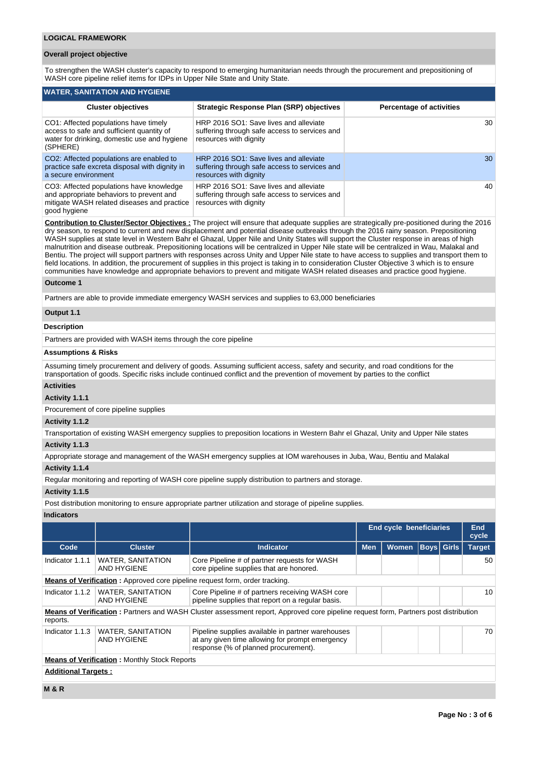### **LOGICAL FRAMEWORK**

## **Overall project objective**

To strengthen the WASH cluster's capacity to respond to emerging humanitarian needs through the procurement and prepositioning of WASH core pipeline relief items for IDPs in Upper Nile State and Unity State.

| WATER, SANITATION AND HYGIENE                                                                                                                       |                                                                                                                   |                                 |  |  |  |  |  |  |  |  |
|-----------------------------------------------------------------------------------------------------------------------------------------------------|-------------------------------------------------------------------------------------------------------------------|---------------------------------|--|--|--|--|--|--|--|--|
| <b>Cluster objectives</b>                                                                                                                           | <b>Strategic Response Plan (SRP) objectives</b>                                                                   | <b>Percentage of activities</b> |  |  |  |  |  |  |  |  |
| CO1: Affected populations have timely<br>access to safe and sufficient quantity of<br>water for drinking, domestic use and hygiene<br>(SPHERE)      | HRP 2016 SO1: Save lives and alleviate<br>suffering through safe access to services and<br>resources with dignity | 30                              |  |  |  |  |  |  |  |  |
| CO2: Affected populations are enabled to<br>practice safe excreta disposal with dignity in<br>a secure environment                                  | HRP 2016 SO1: Save lives and alleviate<br>suffering through safe access to services and<br>resources with dignity | 30                              |  |  |  |  |  |  |  |  |
| CO3: Affected populations have knowledge<br>and appropriate behaviors to prevent and<br>mitigate WASH related diseases and practice<br>good hygiene | HRP 2016 SO1: Save lives and alleviate<br>suffering through safe access to services and<br>resources with dignity | 40                              |  |  |  |  |  |  |  |  |

**Contribution to Cluster/Sector Objectives :** The project will ensure that adequate supplies are strategically pre-positioned during the 2016 dry season, to respond to current and new displacement and potential disease outbreaks through the 2016 rainy season. Prepositioning WASH supplies at state level in Western Bahr el Ghazal, Upper Nile and Unity States will support the Cluster response in areas of high malnutrition and disease outbreak. Prepositioning locations will be centralized in Upper Nile state will be centralized in Wau, Malakal and Bentiu. The project will support partners with responses across Unity and Upper Nile state to have access to supplies and transport them to field locations. In addition, the procurement of supplies in this project is taking in to consideration Cluster Objective 3 which is to ensure communities have knowledge and appropriate behaviors to prevent and mitigate WASH related diseases and practice good hygiene.

#### **Outcome 1**

Partners are able to provide immediate emergency WASH services and supplies to 63,000 beneficiaries

# **Output 1.1**

# **Description**

Partners are provided with WASH items through the core pipeline

#### **Assumptions & Risks**

Assuming timely procurement and delivery of goods. Assuming sufficient access, safety and security, and road conditions for the transportation of goods. Specific risks include continued conflict and the prevention of movement by parties to the conflict

# **Activities**

# **Activity 1.1.1**

Procurement of core pipeline supplies

# **Activity 1.1.2**

Transportation of existing WASH emergency supplies to preposition locations in Western Bahr el Ghazal, Unity and Upper Nile states

# **Activity 1.1.3**

Appropriate storage and management of the WASH emergency supplies at IOM warehouses in Juba, Wau, Bentiu and Malakal

# **Activity 1.1.4**

Regular monitoring and reporting of WASH core pipeline supply distribution to partners and storage.

#### **Activity 1.1.5**

Post distribution monitoring to ensure appropriate partner utilization and storage of pipeline supplies.

### **Indicators**

|                            |                                                     |                                                                                                                                              |            | <b>End cycle beneficiaries</b> |                   | End<br>cycle  |
|----------------------------|-----------------------------------------------------|----------------------------------------------------------------------------------------------------------------------------------------------|------------|--------------------------------|-------------------|---------------|
| Code                       | <b>Cluster</b>                                      | <b>Indicator</b>                                                                                                                             | <b>Men</b> | <b>Women</b>                   | <b>Boys</b> Girls | <b>Target</b> |
| Indicator 1.1.1            | <b>WATER, SANITATION</b><br><b>AND HYGIENE</b>      | Core Pipeline # of partner requests for WASH<br>core pipeline supplies that are honored.                                                     |            |                                |                   | 50            |
|                            |                                                     | Means of Verification: Approved core pipeline request form, order tracking.                                                                  |            |                                |                   |               |
| Indicator 1.1.2            | <b>WATER, SANITATION</b><br>AND HYGIENE             | Core Pipeline # of partners receiving WASH core<br>pipeline supplies that report on a regular basis.                                         |            |                                |                   | 10            |
| reports.                   |                                                     | <b>Means of Verification</b> : Partners and WASH Cluster assessment report, Approved core pipeline request form, Partners post distribution  |            |                                |                   |               |
| Indicator 1.1.3            | <b>WATER, SANITATION</b><br><b>AND HYGIENE</b>      | Pipeline supplies available in partner warehouses<br>at any given time allowing for prompt emergency<br>response (% of planned procurement). |            |                                |                   | 70            |
|                            | <b>Means of Verification: Monthly Stock Reports</b> |                                                                                                                                              |            |                                |                   |               |
| <b>Additional Targets:</b> |                                                     |                                                                                                                                              |            |                                |                   |               |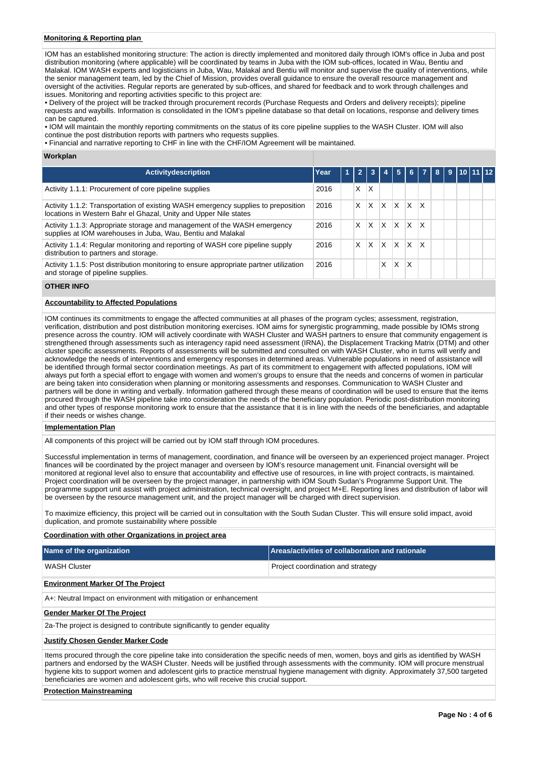# **Monitoring & Reporting plan**

IOM has an established monitoring structure: The action is directly implemented and monitored daily through IOM's office in Juba and post distribution monitoring (where applicable) will be coordinated by teams in Juba with the IOM sub-offices, located in Wau, Bentiu and Malakal. IOM WASH experts and logisticians in Juba, Wau, Malakal and Bentiu will monitor and supervise the quality of interventions, while the senior management team, led by the Chief of Mission, provides overall guidance to ensure the overall resource management and oversight of the activities. Regular reports are generated by sub-offices, and shared for feedback and to work through challenges and issues. Monitoring and reporting activities specific to this project are:

• Delivery of the project will be tracked through procurement records (Purchase Requests and Orders and delivery receipts); pipeline requests and waybills. Information is consolidated in the IOM's pipeline database so that detail on locations, response and delivery times can be captured.

• IOM will maintain the monthly reporting commitments on the status of its core pipeline supplies to the WASH Cluster. IOM will also continue the post distribution reports with partners who requests supplies.

• Financial and narrative reporting to CHF in line with the CHF/IOM Agreement will be maintained.

#### **Workplan**

| <b>Activitydescription</b>                                                                                                                            | Year | 1 |   | 3 |   |          | 6   |                         | <b>R</b> |  | 9 10 11 12 |  |
|-------------------------------------------------------------------------------------------------------------------------------------------------------|------|---|---|---|---|----------|-----|-------------------------|----------|--|------------|--|
| Activity 1.1.1: Procurement of core pipeline supplies                                                                                                 | 2016 |   | X | X |   |          |     |                         |          |  |            |  |
| Activity 1.1.2: Transportation of existing WASH emergency supplies to preposition<br>locations in Western Bahr el Ghazal, Unity and Upper Nile states | 2016 |   | X | X | X | ΙX       | ΙX. | $\mathsf{I} \mathsf{X}$ |          |  |            |  |
| Activity 1.1.3: Appropriate storage and management of the WASH emergency<br>supplies at IOM warehouses in Juba, Wau, Bentiu and Malakal               | 2016 |   | X | X | X | ΙX       | ΙX  |                         |          |  |            |  |
| Activity 1.1.4: Regular monitoring and reporting of WASH core pipeline supply<br>distribution to partners and storage.                                | 2016 |   | X | X | X | $\times$ | ΙX  | x                       |          |  |            |  |
| Activity 1.1.5: Post distribution monitoring to ensure appropriate partner utilization<br>and storage of pipeline supplies.                           | 2016 |   |   |   | x | X        | X   |                         |          |  |            |  |

#### **OTHER INFO**

#### **Accountability to Affected Populations**

IOM continues its commitments to engage the affected communities at all phases of the program cycles; assessment, registration, verification, distribution and post distribution monitoring exercises. IOM aims for synergistic programming, made possible by IOMs strong presence across the country. IOM will actively coordinate with WASH Cluster and WASH partners to ensure that community engagement is strengthened through assessments such as interagency rapid need assessment (IRNA), the Displacement Tracking Matrix (DTM) and other cluster specific assessments. Reports of assessments will be submitted and consulted on with WASH Cluster, who in turns will verify and acknowledge the needs of interventions and emergency responses in determined areas. Vulnerable populations in need of assistance will be identified through formal sector coordination meetings. As part of its commitment to engagement with affected populations, IOM will always put forth a special effort to engage with women and women's groups to ensure that the needs and concerns of women in particular are being taken into consideration when planning or monitoring assessments and responses. Communication to WASH Cluster and partners will be done in writing and verbally. Information gathered through these means of coordination will be used to ensure that the items procured through the WASH pipeline take into consideration the needs of the beneficiary population. Periodic post-distribution monitoring and other types of response monitoring work to ensure that the assistance that it is in line with the needs of the beneficiaries, and adaptable if their needs or wishes change.

#### **Implementation Plan**

All components of this project will be carried out by IOM staff through IOM procedures.

Successful implementation in terms of management, coordination, and finance will be overseen by an experienced project manager. Project finances will be coordinated by the project manager and overseen by IOM's resource management unit. Financial oversight will be monitored at regional level also to ensure that accountability and effective use of resources, in line with project contracts, is maintained. Project coordination will be overseen by the project manager, in partnership with IOM South Sudan's Programme Support Unit. The programme support unit assist with project administration, technical oversight, and project M+E. Reporting lines and distribution of labor will be overseen by the resource management unit, and the project manager will be charged with direct supervision.

To maximize efficiency, this project will be carried out in consultation with the South Sudan Cluster. This will ensure solid impact, avoid duplication, and promote sustainability where possible

**Coordination with other Organizations in project area**

| Name of the organization                                                                                                                                                                                                                                                                                                                                                                                                                                                                                            | Areas/activities of collaboration and rationale |  |  |  |  |  |  |  |  |
|---------------------------------------------------------------------------------------------------------------------------------------------------------------------------------------------------------------------------------------------------------------------------------------------------------------------------------------------------------------------------------------------------------------------------------------------------------------------------------------------------------------------|-------------------------------------------------|--|--|--|--|--|--|--|--|
| <b>WASH Cluster</b>                                                                                                                                                                                                                                                                                                                                                                                                                                                                                                 | Project coordination and strategy               |  |  |  |  |  |  |  |  |
| <b>Environment Marker Of The Project</b>                                                                                                                                                                                                                                                                                                                                                                                                                                                                            |                                                 |  |  |  |  |  |  |  |  |
| A+: Neutral Impact on environment with mitigation or enhancement                                                                                                                                                                                                                                                                                                                                                                                                                                                    |                                                 |  |  |  |  |  |  |  |  |
| <b>Gender Marker Of The Project</b>                                                                                                                                                                                                                                                                                                                                                                                                                                                                                 |                                                 |  |  |  |  |  |  |  |  |
| 2a-The project is designed to contribute significantly to gender equality                                                                                                                                                                                                                                                                                                                                                                                                                                           |                                                 |  |  |  |  |  |  |  |  |
| <b>Justify Chosen Gender Marker Code</b>                                                                                                                                                                                                                                                                                                                                                                                                                                                                            |                                                 |  |  |  |  |  |  |  |  |
| Items procured through the core pipeline take into consideration the specific needs of men, women, boys and girls as identified by WASH<br>partners and endorsed by the WASH Cluster. Needs will be justified through assessments with the community. IOM will procure menstrual<br>hygiene kits to support women and adolescent girls to practice menstrual hygiene management with dignity. Approximately 37,500 targeted<br>beneficiaries are women and adolescent girls, who will receive this crucial support. |                                                 |  |  |  |  |  |  |  |  |

#### **Protection Mainstreaming**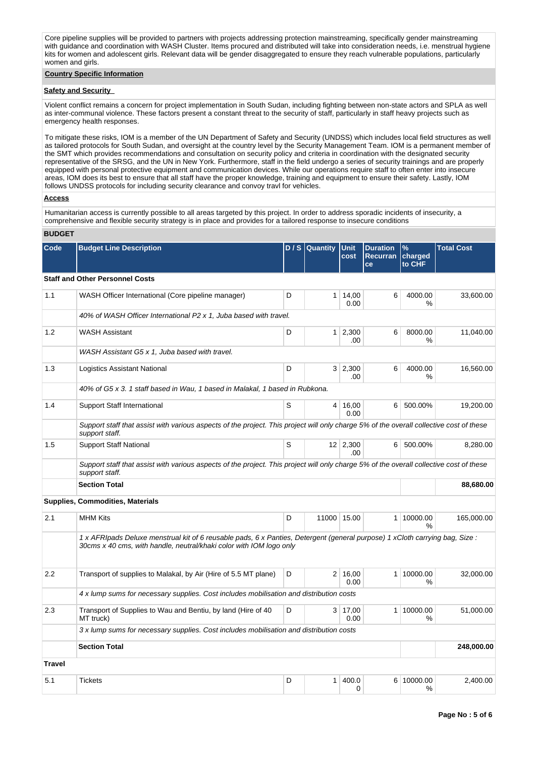Core pipeline supplies will be provided to partners with projects addressing protection mainstreaming, specifically gender mainstreaming with guidance and coordination with WASH Cluster. Items procured and distributed will take into consideration needs, i.e. menstrual hygiene kits for women and adolescent girls. Relevant data will be gender disaggregated to ensure they reach vulnerable populations, particularly women and girls.

# **Country Specific Information**

# **Safety and Security**

Violent conflict remains a concern for project implementation in South Sudan, including fighting between non-state actors and SPLA as well as inter-communal violence. These factors present a constant threat to the security of staff, particularly in staff heavy projects such as emergency health responses.

To mitigate these risks, IOM is a member of the UN Department of Safety and Security (UNDSS) which includes local field structures as well as tailored protocols for South Sudan, and oversight at the country level by the Security Management Team. IOM is a permanent member of the SMT which provides recommendations and consultation on security policy and criteria in coordination with the designated security representative of the SRSG, and the UN in New York. Furthermore, staff in the field undergo a series of security trainings and are properly equipped with personal protective equipment and communication devices. While our operations require staff to often enter into insecure areas, IOM does its best to ensure that all staff have the proper knowledge, training and equipment to ensure their safety. Lastly, IOM follows UNDSS protocols for including security clearance and convoy travl for vehicles.

# **Access**

Humanitarian access is currently possible to all areas targeted by this project. In order to address sporadic incidents of insecurity, a comprehensive and flexible security strategy is in place and provides for a tailored response to insecure conditions

# **BUDGET**

| Code          | <b>Budget Line Description</b>                                                                                                                                                                     |   | D / S Quantity | <b>Unit</b><br>cost    | <b>Duration</b><br><b>Recurran</b><br>ce | $\%$<br>charged<br>to CHF   | <b>Total Cost</b> |
|---------------|----------------------------------------------------------------------------------------------------------------------------------------------------------------------------------------------------|---|----------------|------------------------|------------------------------------------|-----------------------------|-------------------|
|               | <b>Staff and Other Personnel Costs</b>                                                                                                                                                             |   |                |                        |                                          |                             |                   |
| 1.1           | WASH Officer International (Core pipeline manager)                                                                                                                                                 | D |                |                        |                                          | 4000.00<br>$\%$             | 33,600.00         |
|               | 40% of WASH Officer International P2 x 1, Juba based with travel.                                                                                                                                  |   |                |                        |                                          |                             |                   |
| 1.2           | <b>WASH Assistant</b>                                                                                                                                                                              | D |                | $1 \mid 2,300$<br>.00  | 6                                        | 8000.00<br>$\%$             | 11,040.00         |
|               | WASH Assistant G5 x 1, Juba based with travel.                                                                                                                                                     |   |                |                        |                                          |                             |                   |
| 1.3           | Logistics Assistant National                                                                                                                                                                       | D |                | 3 2,300<br>.00         | 6                                        | 4000.00<br>$\%$             | 16,560.00         |
|               | 40% of G5 x 3. 1 staff based in Wau, 1 based in Malakal, 1 based in Rubkona.                                                                                                                       |   |                |                        |                                          |                             |                   |
| 1.4           | <b>Support Staff International</b>                                                                                                                                                                 | S |                | 4 16,00<br>0.00        | 6                                        | 500.00%                     | 19,200.00         |
|               | Support staff that assist with various aspects of the project. This project will only charge 5% of the overall collective cost of these<br>support staff.                                          |   |                |                        |                                          |                             |                   |
| 1.5           | <b>Support Staff National</b>                                                                                                                                                                      | S |                | $12 \mid 2,300$<br>.00 | 6 <sup>1</sup>                           | 500.00%                     | 8,280.00          |
|               | Support staff that assist with various aspects of the project. This project will only charge 5% of the overall collective cost of these<br>support staff.                                          |   |                |                        |                                          |                             |                   |
|               | <b>Section Total</b>                                                                                                                                                                               |   |                |                        |                                          |                             | 88,680.00         |
|               | <b>Supplies, Commodities, Materials</b>                                                                                                                                                            |   |                |                        |                                          |                             |                   |
| 2.1           | <b>MHM Kits</b>                                                                                                                                                                                    | D |                | 11000 15.00            |                                          | 1 10000.00<br>$\frac{0}{0}$ | 165,000.00        |
|               | 1 x AFRIpads Deluxe menstrual kit of 6 reusable pads, 6 x Panties, Detergent (general purpose) 1 xCloth carrying bag, Size:<br>30cms x 40 cms, with handle, neutral/khaki color with IOM logo only |   |                |                        |                                          |                             |                   |
| 2.2           | Transport of supplies to Malakal, by Air (Hire of 5.5 MT plane)                                                                                                                                    | D | 2 <sup>1</sup> | 16,00<br>0.00          |                                          | 1 10000.00<br>%             | 32,000.00         |
|               | 4 x lump sums for necessary supplies. Cost includes mobilisation and distribution costs                                                                                                            |   |                |                        |                                          |                             |                   |
| 2.3           | Transport of Supplies to Wau and Bentiu, by land (Hire of 40)<br>MT truck)                                                                                                                         | D |                | $3 \mid 17,00$<br>0.00 |                                          | 1 10000.00<br>$\frac{0}{0}$ | 51,000.00         |
|               | 3 x lump sums for necessary supplies. Cost includes mobilisation and distribution costs                                                                                                            |   |                |                        |                                          |                             |                   |
|               | <b>Section Total</b>                                                                                                                                                                               |   |                |                        |                                          |                             | 248,000.00        |
| <b>Travel</b> |                                                                                                                                                                                                    |   |                |                        |                                          |                             |                   |
| 5.1           | <b>Tickets</b>                                                                                                                                                                                     | D | 1              | 400.0<br>$\Omega$      |                                          | 6 10000.00<br>$\%$          | 2,400.00          |